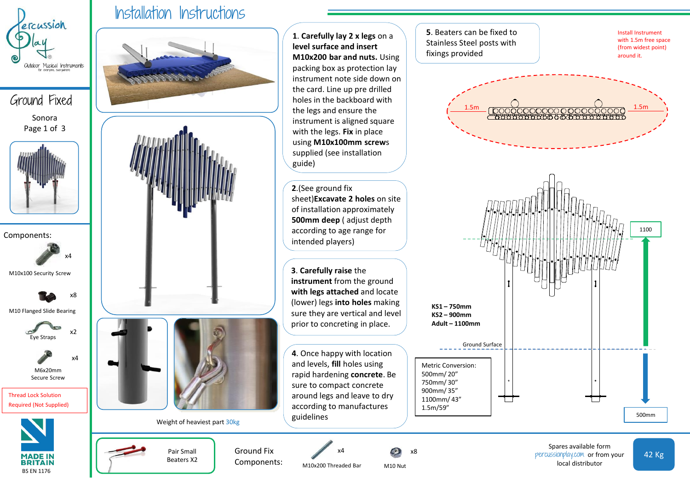

### Ground Fixed Sonora Page 1 of 3



Components:

M10x100 Security Screw x4

M10 Flanged Slide Bearing

x8

x4



M6x20mm Secure Screw

#### Thread Lock Solution Required (Not Supplied)



## Installation Instructions



**5**. Beaters can be fixed to Install Instrument **1**. **Carefully lay 2 x legs** on a Stainless Steel posts with with 1.5m free space **level surface and insert**  (from widest point) fixings provided around it. **M10x200 bar and nuts.** Using packing box as protection lay instrument note side down on the card. Line up pre drilled holes in the backboard with 1.5m the legs and ensure the 1.5m <u> [လူဝွင်ဝဝဝဝဝဝ ဝဝဝဝဝင်ဝဝဝ</u><br>၁၀၀၀၀၀ ၁၀၀၀၀၀၀၀၀၀၀၀၀၀၀ instrument is aligned square with the legs. **Fix** in place using **M10x100mm screw**s supplied (see installation sheet)**Excavate 2 holes** on site of installation approximately **500mm deep** ( adjust depth according to age range for 1100 **instrument** from the ground **with legs attached** and locate (lower) legs **into holes** making **KS1 – 750mm** sure they are vertical and level **KS2 – 900mm** prior to concreting in place. **Adult – 1100mm**  Ground Surface **4**. Once happy with location and levels, **fill** holes using Metric Conversion: rapid hardening **concrete**. Be 500mm/ 20" 750mm/ 30" sure to compact concrete 900mm/ 35" around legs and leave to dry 1100mm/ 43" according to manufactures 1.5m/59"500mm

M10x200 Threaded Bar x4

M10 Nut

Spares available form percussionplay.com or from your local distributor

42 Kg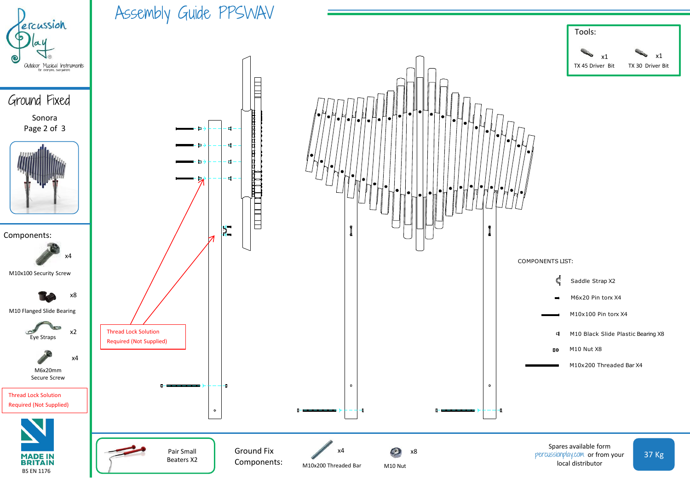

# Assembly Guide PPSWAV